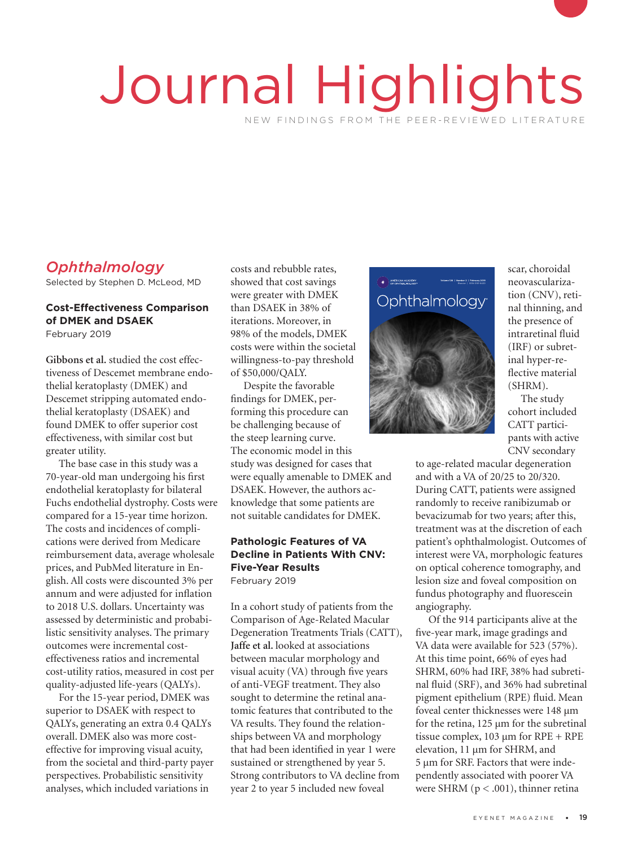# Journal Highlights NEW FINDINGS FROM THE PEER-REVIEWED LITERATURE

# *Ophthalmology*

Selected by Stephen D. McLeod, MD

## **Cost-Effectiveness Comparison of DMEK and DSAEK**

February 2019

**Gibbons et al.** studied the cost effectiveness of Descemet membrane endothelial keratoplasty (DMEK) and Descemet stripping automated endothelial keratoplasty (DSAEK) and found DMEK to offer superior cost effectiveness, with similar cost but greater utility.

The base case in this study was a 70-year-old man undergoing his first endothelial keratoplasty for bilateral Fuchs endothelial dystrophy. Costs were compared for a 15-year time horizon. The costs and incidences of complications were derived from Medicare reimbursement data, average wholesale prices, and PubMed literature in English. All costs were discounted 3% per annum and were adjusted for inflation to 2018 U.S. dollars. Uncertainty was assessed by deterministic and probabilistic sensitivity analyses. The primary outcomes were incremental costeffectiveness ratios and incremental cost-utility ratios, measured in cost per quality-adjusted life-years (QALYs).

For the 15-year period, DMEK was superior to DSAEK with respect to QALYs, generating an extra 0.4 QALYs overall. DMEK also was more costeffective for improving visual acuity, from the societal and third-party payer perspectives. Probabilistic sensitivity analyses, which included variations in

costs and rebubble rates, showed that cost savings were greater with DMEK than DSAEK in 38% of iterations. Moreover, in 98% of the models, DMEK costs were within the societal 98% of the models, DMEK<br>costs were within the societal<br>willingness-to-pay threshold<br>of \$50,000/OAIV of \$50,000/QALY.

Despite the favorable findings for DMEK, performing this procedure can be challenging because of the steep learning curve. The economic model in this study was designed for cases that were equally amenable to DMEK and DSAEK. However, the authors acknowledge that some patients are not suitable candidates for DMEK.

#### **Pathologic Features of VA Decline in Patients With CNV: Five-Year Results** February 2019

In a cohort study of patients from the Comparison of Age-Related Macular Degeneration Treatments Trials (CATT), **Jaffe et al.** looked at associations between macular morphology and visual acuity (VA) through five years of anti-VEGF treatment. They also sought to determine the retinal anatomic features that contributed to the VA results. They found the relationships between VA and morphology that had been identified in year 1 were sustained or strengthened by year 5. Strong contributors to VA decline from year 2 to year 5 included new foveal



scar, choroidal neovascularization (CNV), retinal thinning, and the presence of intraretinal fluid (IRF) or subretinal hyper-reflective material (SHRM).

The study cohort included CATT participants with active CNV secondary

to age-related macular degeneration and with a VA of 20/25 to 20/320. During CATT, patients were assigned randomly to receive ranibizumab or bevacizumab for two years; after this, treatment was at the discretion of each patient's ophthalmologist. Outcomes of interest were VA, morphologic features on optical coherence tomography, and lesion size and foveal composition on fundus photography and fluorescein angiography.

Of the 914 participants alive at the five-year mark, image gradings and VA data were available for 523 (57%). At this time point, 66% of eyes had SHRM, 60% had IRF, 38% had subretinal fluid (SRF), and 36% had subretinal pigment epithelium (RPE) fluid. Mean foveal center thicknesses were 148 μm for the retina, 125 μm for the subretinal tissue complex,  $103 \mu m$  for RPE + RPE elevation, 11 μm for SHRM, and 5 μm for SRF. Factors that were independently associated with poorer VA were SHRM ( $p < .001$ ), thinner retina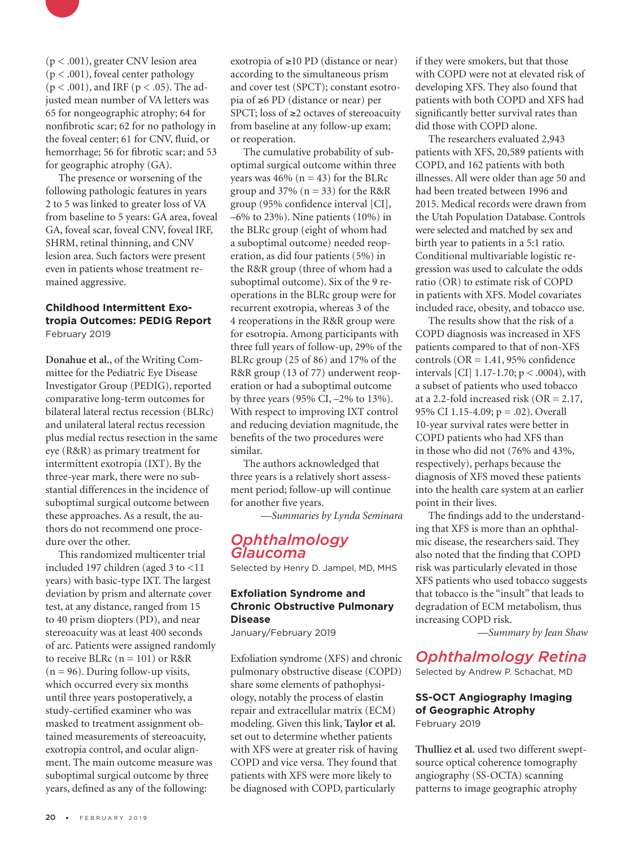

(p < .001), greater CNV lesion area (p < .001), foveal center pathology  $(p < .001)$ , and IRF  $(p < .05)$ . The adjusted mean number of VA letters was 65 for nongeographic atrophy; 64 for nonfibrotic scar; 62 for no pathology in the foveal center; 61 for CNV, fluid, or hemorrhage; 56 for fibrotic scar; and 53 for geographic atrophy (GA).

The presence or worsening of the following pathologic features in years 2 to 5 was linked to greater loss of VA from baseline to 5 years: GA area, foveal GA, foveal scar, foveal CNV, foveal IRF, SHRM, retinal thinning, and CNV lesion area. Such factors were present even in patients whose treatment remained aggressive.

#### **Childhood Intermittent Exotropia Outcomes: PEDIG Report** February 2019

**Donahue et al.**, of the Writing Committee for the Pediatric Eye Disease Investigator Group (PEDIG), reported comparative long-term outcomes for bilateral lateral rectus recession (BLRc) and unilateral lateral rectus recession plus medial rectus resection in the same eye (R&R) as primary treatment for intermittent exotropia (IXT). By the three-year mark, there were no substantial differences in the incidence of suboptimal surgical outcome between these approaches. As a result, the authors do not recommend one procedure over the other.

This randomized multicenter trial included 197 children (aged 3 to <11 years) with basic-type IXT. The largest deviation by prism and alternate cover test, at any distance, ranged from 15 to 40 prism diopters (PD), and near stereoacuity was at least 400 seconds of arc. Patients were assigned randomly to receive BLRc  $(n = 101)$  or R&R  $(n = 96)$ . During follow-up visits, which occurred every six months until three years postoperatively, a study-certified examiner who was masked to treatment assignment obtained measurements of stereoacuity, exotropia control, and ocular alignment. The main outcome measure was suboptimal surgical outcome by three years, defined as any of the following:

exotropia of ≥10 PD (distance or near) according to the simultaneous prism and cover test (SPCT); constant esotropia of ≥6 PD (distance or near) per SPCT; loss of ≥2 octaves of stereoacuity from baseline at any follow-up exam; or reoperation.

The cumulative probability of suboptimal surgical outcome within three years was 46% ( $n = 43$ ) for the BLRc group and  $37\%$  (n = 33) for the R&R group (95% confidence interval [CI], –6% to 23%). Nine patients (10%) in the BLRc group (eight of whom had a suboptimal outcome) needed reoperation, as did four patients (5%) in the R&R group (three of whom had a suboptimal outcome). Six of the 9 reoperations in the BLRc group were for recurrent exotropia, whereas 3 of the 4 reoperations in the R&R group were for esotropia. Among participants with three full years of follow-up, 29% of the BLRc group (25 of 86) and 17% of the R&R group (13 of 77) underwent reoperation or had a suboptimal outcome by three years (95% CI, –2% to 13%). With respect to improving IXT control and reducing deviation magnitude, the benefits of the two procedures were similar.

The authors acknowledged that three years is a relatively short assessment period; follow-up will continue for another five years.

*—Summaries by Lynda Seminara*

## *Ophthalmology Glaucoma*

Selected by Henry D. Jampel, MD, MHS

### **Exfoliation Syndrome and Chronic Obstructive Pulmonary Disease**

January/February 2019

Exfoliation syndrome (XFS) and chronic pulmonary obstructive disease (COPD) share some elements of pathophysiology, notably the process of elastin repair and extracellular matrix (ECM) modeling. Given this link, **Taylor et al.** set out to determine whether patients with XFS were at greater risk of having COPD and vice versa. They found that patients with XFS were more likely to be diagnosed with COPD, particularly

if they were smokers, but that those with COPD were not at elevated risk of developing XFS. They also found that patients with both COPD and XFS had significantly better survival rates than did those with COPD alone.

The researchers evaluated 2,943 patients with XFS, 20,589 patients with COPD, and 162 patients with both illnesses. All were older than age 50 and had been treated between 1996 and 2015. Medical records were drawn from the Utah Population Database. Controls were selected and matched by sex and birth year to patients in a 5:1 ratio. Conditional multivariable logistic regression was used to calculate the odds ratio (OR) to estimate risk of COPD in patients with XFS. Model covariates included race, obesity, and tobacco use.

The results show that the risk of a COPD diagnosis was increased in XFS patients compared to that of non-XFS controls ( $OR = 1.41$ , 95% confidence intervals [CI] 1.17-1.70; p < .0004), with a subset of patients who used tobacco at a 2.2-fold increased risk (OR = 2.17, 95% CI 1.15-4.09; p = .02). Overall 10-year survival rates were better in COPD patients who had XFS than in those who did not (76% and 43%, respectively), perhaps because the diagnosis of XFS moved these patients into the health care system at an earlier point in their lives.

The findings add to the understanding that XFS is more than an ophthalmic disease, the researchers said. They also noted that the finding that COPD risk was particularly elevated in those XFS patients who used tobacco suggests that tobacco is the "insult" that leads to degradation of ECM metabolism, thus increasing COPD risk.

*—Summary by Jean Shaw*

# *Ophthalmology Retina*

Selected by Andrew P. Schachat, MD

#### **SS-OCT Angiography Imaging of Geographic Atrophy** February 2019

**Thulliez et al.** used two different sweptsource optical coherence tomography angiography (SS-OCTA) scanning patterns to image geographic atrophy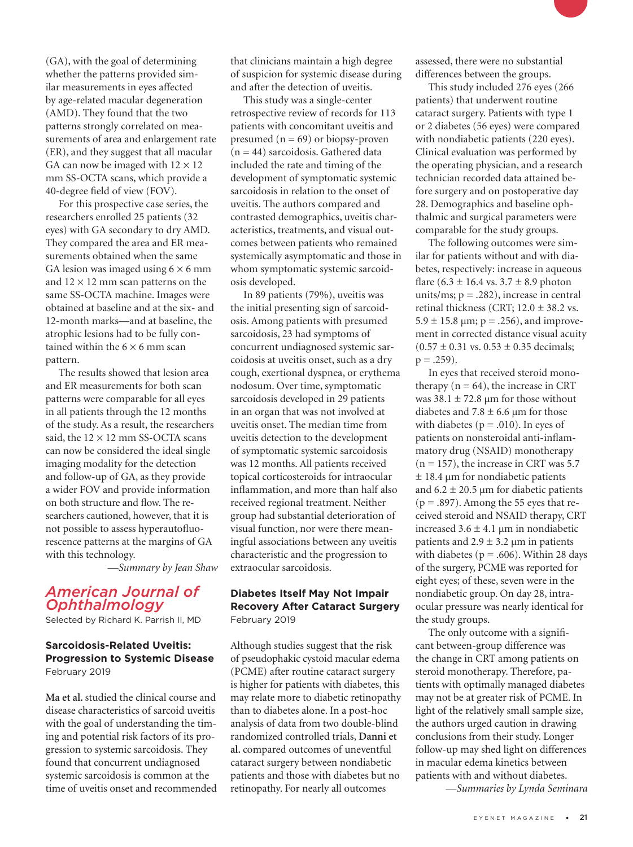(GA), with the goal of determining whether the patterns provided similar measurements in eyes affected by age-related macular degeneration (AMD). They found that the two patterns strongly correlated on measurements of area and enlargement rate (ER), and they suggest that all macular GA can now be imaged with  $12 \times 12$ mm SS-OCTA scans, which provide a 40-degree field of view (FOV).

For this prospective case series, the researchers enrolled 25 patients (32 eyes) with GA secondary to dry AMD. They compared the area and ER measurements obtained when the same GA lesion was imaged using  $6 \times 6$  mm and  $12 \times 12$  mm scan patterns on the same SS-OCTA machine. Images were obtained at baseline and at the six- and 12-month marks—and at baseline, the atrophic lesions had to be fully contained within the  $6 \times 6$  mm scan pattern.

The results showed that lesion area and ER measurements for both scan patterns were comparable for all eyes in all patients through the 12 months of the study. As a result, the researchers said, the  $12 \times 12$  mm SS-OCTA scans can now be considered the ideal single imaging modality for the detection and follow-up of GA, as they provide a wider FOV and provide information on both structure and flow. The researchers cautioned, however, that it is not possible to assess hyperautofluorescence patterns at the margins of GA with this technology.

*—Summary by Jean Shaw*

# *American Journal of Ophthalmology*

Selected by Richard K. Parrish II, MD

#### **Sarcoidosis-Related Uveitis: Progression to Systemic Disease**  February 2019

**Ma et al.** studied the clinical course and disease characteristics of sarcoid uveitis with the goal of understanding the timing and potential risk factors of its progression to systemic sarcoidosis. They found that concurrent undiagnosed systemic sarcoidosis is common at the time of uveitis onset and recommended that clinicians maintain a high degree of suspicion for systemic disease during and after the detection of uveitis.

This study was a single-center retrospective review of records for 113 patients with concomitant uveitis and presumed  $(n = 69)$  or biopsy-proven  $(n = 44)$  sarcoidosis. Gathered data included the rate and timing of the development of symptomatic systemic sarcoidosis in relation to the onset of uveitis. The authors compared and contrasted demographics, uveitis characteristics, treatments, and visual outcomes between patients who remained systemically asymptomatic and those in whom symptomatic systemic sarcoidosis developed.

In 89 patients (79%), uveitis was the initial presenting sign of sarcoidosis. Among patients with presumed sarcoidosis, 23 had symptoms of concurrent undiagnosed systemic sarcoidosis at uveitis onset, such as a dry cough, exertional dyspnea, or erythema nodosum. Over time, symptomatic sarcoidosis developed in 29 patients in an organ that was not involved at uveitis onset. The median time from uveitis detection to the development of symptomatic systemic sarcoidosis was 12 months. All patients received topical corticosteroids for intraocular inflammation, and more than half also received regional treatment. Neither group had substantial deterioration of visual function, nor were there meaningful associations between any uveitis characteristic and the progression to extraocular sarcoidosis.

#### **Diabetes Itself May Not Impair Recovery After Cataract Surgery** February 2019

Although studies suggest that the risk of pseudophakic cystoid macular edema (PCME) after routine cataract surgery is higher for patients with diabetes, this may relate more to diabetic retinopathy than to diabetes alone. In a post-hoc analysis of data from two double-blind randomized controlled trials, **Danni et al.** compared outcomes of uneventful cataract surgery between nondiabetic patients and those with diabetes but no retinopathy. For nearly all outcomes

assessed, there were no substantial differences between the groups.

This study included 276 eyes (266 patients) that underwent routine cataract surgery. Patients with type 1 or 2 diabetes (56 eyes) were compared with nondiabetic patients (220 eyes). Clinical evaluation was performed by the operating physician, and a research technician recorded data attained before surgery and on postoperative day 28. Demographics and baseline ophthalmic and surgical parameters were comparable for the study groups.

The following outcomes were similar for patients without and with diabetes, respectively: increase in aqueous flare  $(6.3 \pm 16.4 \text{ vs. } 3.7 \pm 8.9 \text{ photon})$ units/ms;  $p = .282$ ), increase in central retinal thickness (CRT;  $12.0 \pm 38.2$  vs.  $5.9 \pm 15.8$   $\mu$ m; p = .256), and improvement in corrected distance visual acuity  $(0.57 \pm 0.31 \text{ vs. } 0.53 \pm 0.35 \text{ decimals};$  $p = .259$ ).

In eyes that received steroid monotherapy  $(n = 64)$ , the increase in CRT was  $38.1 \pm 72.8$  µm for those without diabetes and 7.8  $\pm$  6.6 μm for those with diabetes ( $p = .010$ ). In eyes of patients on nonsteroidal anti-inflammatory drug (NSAID) monotherapy  $(n = 157)$ , the increase in CRT was 5.7  $\pm$  18.4 μm for nondiabetic patients and  $6.2 \pm 20.5$  µm for diabetic patients  $(p = .897)$ . Among the 55 eyes that received steroid and NSAID therapy, CRT increased  $3.6 \pm 4.1$  μm in nondiabetic patients and  $2.9 \pm 3.2$  μm in patients with diabetes ( $p = .606$ ). Within 28 days of the surgery, PCME was reported for eight eyes; of these, seven were in the nondiabetic group. On day 28, intraocular pressure was nearly identical for the study groups.

The only outcome with a significant between-group difference was the change in CRT among patients on steroid monotherapy. Therefore, patients with optimally managed diabetes may not be at greater risk of PCME. In light of the relatively small sample size, the authors urged caution in drawing conclusions from their study. Longer follow-up may shed light on differences in macular edema kinetics between patients with and without diabetes.

 *—Summaries by Lynda Seminara*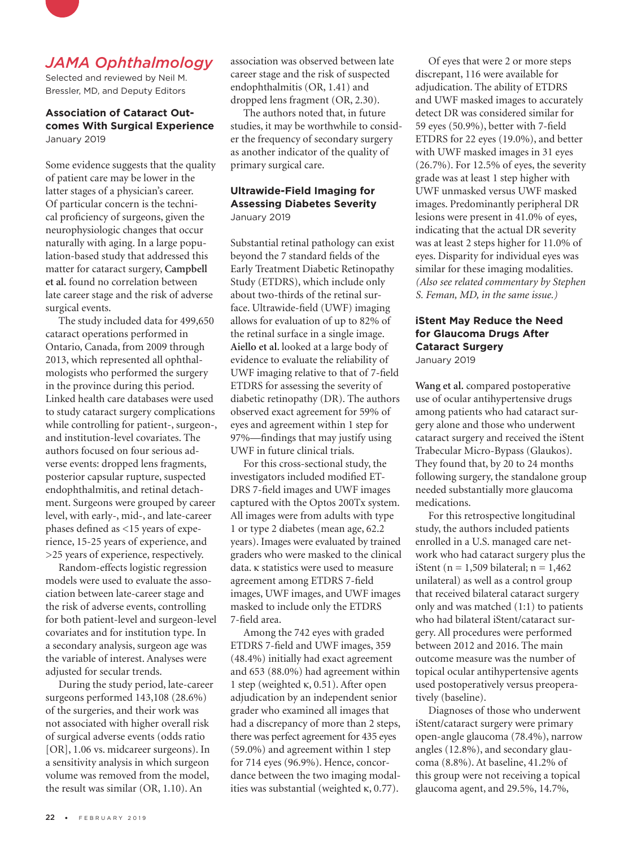

# *JAMA Ophthalmology*

Selected and reviewed by Neil M. Bressler, MD, and Deputy Editors

#### **Association of Cataract Outcomes With Surgical Experience**  January 2019

Some evidence suggests that the quality of patient care may be lower in the latter stages of a physician's career. Of particular concern is the technical proficiency of surgeons, given the neurophysiologic changes that occur naturally with aging. In a large population-based study that addressed this matter for cataract surgery, **Campbell et al.** found no correlation between late career stage and the risk of adverse surgical events.

The study included data for 499,650 cataract operations performed in Ontario, Canada, from 2009 through 2013, which represented all ophthalmologists who performed the surgery in the province during this period. Linked health care databases were used to study cataract surgery complications while controlling for patient-, surgeon-, and institution-level covariates. The authors focused on four serious adverse events: dropped lens fragments, posterior capsular rupture, suspected endophthalmitis, and retinal detachment. Surgeons were grouped by career level, with early-, mid-, and late-career phases defined as <15 years of experience, 15-25 years of experience, and >25 years of experience, respectively.

Random-effects logistic regression models were used to evaluate the association between late-career stage and the risk of adverse events, controlling for both patient-level and surgeon-level covariates and for institution type. In a secondary analysis, surgeon age was the variable of interest. Analyses were adjusted for secular trends.

During the study period, late-career surgeons performed 143,108 (28.6%) of the surgeries, and their work was not associated with higher overall risk of surgical adverse events (odds ratio [OR], 1.06 vs. midcareer surgeons). In a sensitivity analysis in which surgeon volume was removed from the model, the result was similar (OR, 1.10). An

association was observed between late career stage and the risk of suspected endophthalmitis (OR, 1.41) and dropped lens fragment (OR, 2.30).

The authors noted that, in future studies, it may be worthwhile to consider the frequency of secondary surgery as another indicator of the quality of primary surgical care.

#### **Ultrawide-Field Imaging for Assessing Diabetes Severity** January 2019

Substantial retinal pathology can exist beyond the 7 standard fields of the Early Treatment Diabetic Retinopathy Study (ETDRS), which include only about two-thirds of the retinal surface. Ultrawide-field (UWF) imaging allows for evaluation of up to 82% of the retinal surface in a single image. **Aiello et al.** looked at a large body of evidence to evaluate the reliability of UWF imaging relative to that of 7-field ETDRS for assessing the severity of diabetic retinopathy (DR). The authors observed exact agreement for 59% of eyes and agreement within 1 step for 97%—findings that may justify using UWF in future clinical trials.

For this cross-sectional study, the investigators included modified ET-DRS 7-field images and UWF images captured with the Optos 200Tx system. All images were from adults with type 1 or type 2 diabetes (mean age, 62.2 years). Images were evaluated by trained graders who were masked to the clinical data. κ statistics were used to measure agreement among ETDRS 7-field images, UWF images, and UWF images masked to include only the ETDRS 7-field area.

Among the 742 eyes with graded ETDRS 7-field and UWF images, 359 (48.4%) initially had exact agreement and 653 (88.0%) had agreement within 1 step (weighted κ, 0.51). After open adjudication by an independent senior grader who examined all images that had a discrepancy of more than 2 steps, there was perfect agreement for 435 eyes (59.0%) and agreement within 1 step for 714 eyes (96.9%). Hence, concordance between the two imaging modalities was substantial (weighted κ, 0.77).

Of eyes that were 2 or more steps discrepant, 116 were available for adjudication. The ability of ETDRS and UWF masked images to accurately detect DR was considered similar for 59 eyes (50.9%), better with 7-field ETDRS for 22 eyes (19.0%), and better with UWF masked images in 31 eyes (26.7%). For 12.5% of eyes, the severity grade was at least 1 step higher with UWF unmasked versus UWF masked images. Predominantly peripheral DR lesions were present in 41.0% of eyes, indicating that the actual DR severity was at least 2 steps higher for 11.0% of eyes. Disparity for individual eyes was similar for these imaging modalities. *(Also see related commentary by Stephen S. Feman, MD, in the same issue.)*

# **iStent May Reduce the Need for Glaucoma Drugs After Cataract Surgery**

January 2019

**Wang et al.** compared postoperative use of ocular antihypertensive drugs among patients who had cataract surgery alone and those who underwent cataract surgery and received the iStent Trabecular Micro-Bypass (Glaukos). They found that, by 20 to 24 months following surgery, the standalone group needed substantially more glaucoma medications.

For this retrospective longitudinal study, the authors included patients enrolled in a U.S. managed care network who had cataract surgery plus the iStent ( $n = 1,509$  bilateral;  $n = 1,462$ unilateral) as well as a control group that received bilateral cataract surgery only and was matched (1:1) to patients who had bilateral iStent/cataract surgery. All procedures were performed between 2012 and 2016. The main outcome measure was the number of topical ocular antihypertensive agents used postoperatively versus preoperatively (baseline).

Diagnoses of those who underwent iStent/cataract surgery were primary open-angle glaucoma (78.4%), narrow angles (12.8%), and secondary glaucoma (8.8%). At baseline, 41.2% of this group were not receiving a topical glaucoma agent, and 29.5%, 14.7%,